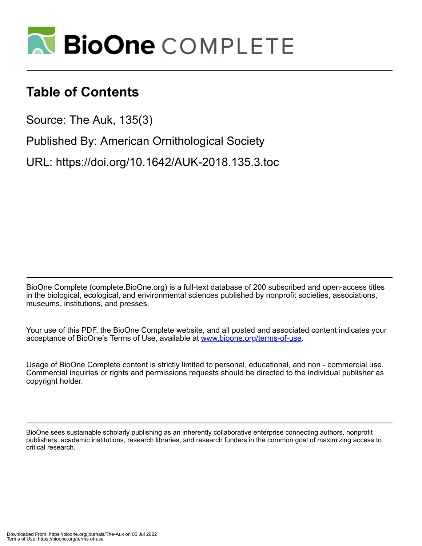

# **Table of Contents**

Source: The Auk, 135(3)

Published By: American Ornithological Society

URL: https://doi.org/10.1642/AUK-2018.135.3.toc

BioOne Complete (complete.BioOne.org) is a full-text database of 200 subscribed and open-access titles in the biological, ecological, and environmental sciences published by nonprofit societies, associations, museums, institutions, and presses.

Your use of this PDF, the BioOne Complete website, and all posted and associated content indicates your acceptance of BioOne's Terms of Use, available at www.bioone.org/terms-of-use.

Usage of BioOne Complete content is strictly limited to personal, educational, and non - commercial use. Commercial inquiries or rights and permissions requests should be directed to the individual publisher as copyright holder.

BioOne sees sustainable scholarly publishing as an inherently collaborative enterprise connecting authors, nonprofit publishers, academic institutions, research libraries, and research funders in the common goal of maximizing access to critical research.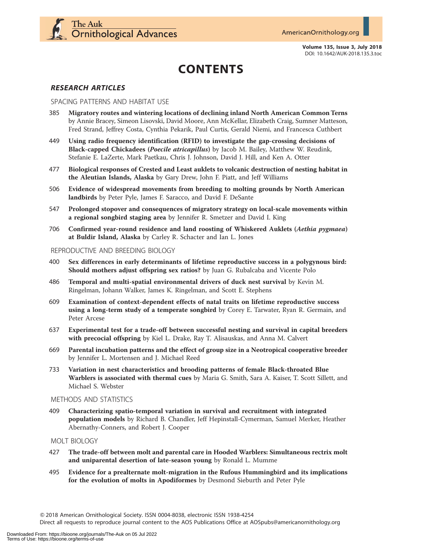

Volume 135, Issue 3, July 2018 DOI: 10.1642/AUK-2018.135.3.toc

# CONTENTS

### RESEARCH ARTICLES

#### SPACING PATTERNS AND HABITAT USE

- 385 Migratory routes and wintering locations of declining inland North American Common Terns by Annie Bracey, Simeon Lisovski, David Moore, Ann McKellar, Elizabeth Craig, Sumner Matteson, Fred Strand, Jeffrey Costa, Cynthia Pekarik, Paul Curtis, Gerald Niemi, and Francesca Cuthbert
- 449 Using radio frequency identification (RFID) to investigate the gap-crossing decisions of Black-capped Chickadees (Poecile atricapillus) by Jacob M. Bailey, Matthew W. Reudink, Stefanie E. LaZerte, Mark Paetkau, Chris J. Johnson, David J. Hill, and Ken A. Otter
- 477 Biological responses of Crested and Least auklets to volcanic destruction of nesting habitat in the Aleutian Islands, Alaska by Gary Drew, John F. Piatt, and Jeff Williams
- 506 Evidence of widespread movements from breeding to molting grounds by North American landbirds by Peter Pyle, James F. Saracco, and David F. DeSante
- 547 Prolonged stopover and consequences of migratory strategy on local-scale movements within a regional songbird staging area by Jennifer R. Smetzer and David I. King
- 706 Confirmed year-round residence and land roosting of Whiskered Auklets (Aethia pygmaea) at Buldir Island, Alaska by Carley R. Schacter and Ian L. Jones

#### REPRODUCTIVE AND BREEDING BIOLOGY

- 400 Sex differences in early determinants of lifetime reproductive success in a polygynous bird: Should mothers adjust offspring sex ratios? by Juan G. Rubalcaba and Vicente Polo
- 486 Temporal and multi-spatial environmental drivers of duck nest survival by Kevin M. Ringelman, Johann Walker, James K. Ringelman, and Scott E. Stephens
- 609 Examination of context-dependent effects of natal traits on lifetime reproductive success using a long-term study of a temperate songbird by Corey E. Tarwater, Ryan R. Germain, and Peter Arcese
- 637 Experimental test for a trade-off between successful nesting and survival in capital breeders with precocial offspring by Kiel L. Drake, Ray T. Alisauskas, and Anna M. Calvert
- 669 Parental incubation patterns and the effect of group size in a Neotropical cooperative breeder by Jennifer L. Mortensen and J. Michael Reed
- 733 Variation in nest characteristics and brooding patterns of female Black-throated Blue Warblers is associated with thermal cues by Maria G. Smith, Sara A. Kaiser, T. Scott Sillett, and Michael S. Webster

# METHODS AND STATISTICS

409 Characterizing spatio-temporal variation in survival and recruitment with integrated population models by Richard B. Chandler, Jeff Hepinstall-Cymerman, Samuel Merker, Heather Abernathy-Conners, and Robert J. Cooper

#### MOLT BIOLOGY

- 427 The trade-off between molt and parental care in Hooded Warblers: Simultaneous rectrix molt and uniparental desertion of late-season young by Ronald L. Mumme
- 495 Evidence for a prealternate molt-migration in the Rufous Hummingbird and its implications for the evolution of molts in Apodiformes by Desmond Sieburth and Peter Pyle

Direct all requests to reproduce journal content to the AOS Publications Office at AOSpubs@americanornithology.org

Q 2018 American Ornithological Society. ISSN 0004-8038, electronic ISSN 1938-4254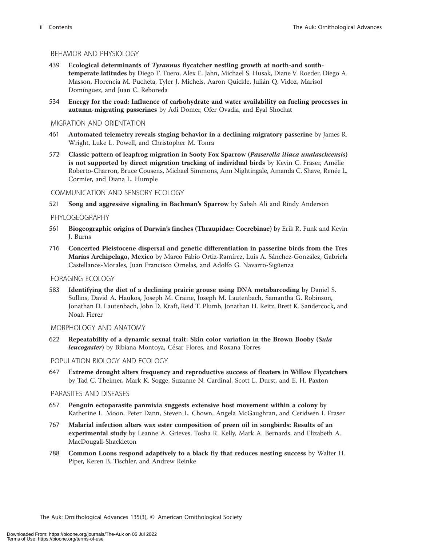#### BEHAVIOR AND PHYSIOLOGY

- 439 Ecological determinants of *Tyrannus* flycatcher nestling growth at north-and southtemperate latitudes by Diego T. Tuero, Alex E. Jahn, Michael S. Husak, Diane V. Roeder, Diego A. Masson, Florencia M. Pucheta, Tyler J. Michels, Aaron Quickle, Julián Q. Vidoz, Marisol Domínguez, and Juan C. Reboreda
- 534 Energy for the road: Influence of carbohydrate and water availability on fueling processes in autumn-migrating passerines by Adi Domer, Ofer Ovadia, and Eyal Shochat

#### MIGRATION AND ORIENTATION

- 461 Automated telemetry reveals staging behavior in a declining migratory passerine by James R. Wright, Luke L. Powell, and Christopher M. Tonra
- 572 Classic pattern of leapfrog migration in Sooty Fox Sparrow (Passerella iliaca unalaschcensis) is not supported by direct migration tracking of individual birds by Kevin C. Fraser, Amélie Roberto-Charron, Bruce Cousens, Michael Simmons, Ann Nightingale, Amanda C. Shave, Renée L. Cormier, and Diana L. Humple

#### COMMUNICATION AND SENSORY ECOLOGY

521 Song and aggressive signaling in Bachman's Sparrow by Sabah Ali and Rindy Anderson

#### PHYLOGEOGRAPHY

- 561 Biogeographic origins of Darwin's finches (Thraupidae: Coerebinae) by Erik R. Funk and Kevin J. Burns
- 716 Concerted Pleistocene dispersal and genetic differentiation in passerine birds from the Tres Marías Archipelago, Mexico by Marco Fabio Ortiz-Ramírez, Luis A. Sánchez-González, Gabriela Castellanos-Morales, Juan Francisco Ornelas, and Adolfo G. Navarro-Sigüenza

#### FORAGING ECOLOGY

583 Identifying the diet of a declining prairie grouse using DNA metabarcoding by Daniel S. Sullins, David A. Haukos, Joseph M. Craine, Joseph M. Lautenbach, Samantha G. Robinson, Jonathan D. Lautenbach, John D. Kraft, Reid T. Plumb, Jonathan H. Reitz, Brett K. Sandercock, and Noah Fierer

#### MORPHOLOGY AND ANATOMY

622 Repeatability of a dynamic sexual trait: Skin color variation in the Brown Booby (Sula leucogaster) by Bibiana Montoya, César Flores, and Roxana Torres

#### POPULATION BIOLOGY AND ECOLOGY

647 Extreme drought alters frequency and reproductive success of floaters in Willow Flycatchers by Tad C. Theimer, Mark K. Sogge, Suzanne N. Cardinal, Scott L. Durst, and E. H. Paxton

#### PARASITES AND DISEASES

- 657 Penguin ectoparasite panmixia suggests extensive host movement within a colony by Katherine L. Moon, Peter Dann, Steven L. Chown, Angela McGaughran, and Ceridwen I. Fraser
- 767 Malarial infection alters wax ester composition of preen oil in songbirds: Results of an experimental study by Leanne A. Grieves, Tosha R. Kelly, Mark A. Bernards, and Elizabeth A. MacDougall-Shackleton
- 788 Common Loons respond adaptively to a black fly that reduces nesting success by Walter H. Piper, Keren B. Tischler, and Andrew Reinke